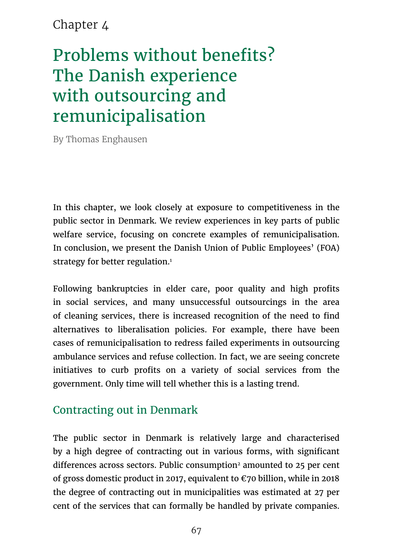### Chapter 4

# Problems without benefits? The Danish experience with outsourcing and remunicipalisation

By Thomas Enghausen

In this chapter, we look closely at exposure to competitiveness in the public sector in Denmark. We review experiences in key parts of public welfare service, focusing on concrete examples of remunicipalisation. In conclusion, we present the Danish Union of Public Employees' (FOA) strategy for better regulation.<sup>1</sup>

Following bankruptcies in elder care, poor quality and high profits in social services, and many unsuccessful outsourcings in the area of cleaning services, there is increased recognition of the need to find alternatives to liberalisation policies. For example, there have been cases of remunicipalisation to redress failed experiments in outsourcing ambulance services and refuse collection. In fact, we are seeing concrete initiatives to curb profits on a variety of social services from the government. Only time will tell whether this is a lasting trend.

#### Contracting out in Denmark

The public sector in Denmark is relatively large and characterised by a high degree of contracting out in various forms, with significant differences across sectors. Public consumption<sup>2</sup> amounted to 25 per cent of gross domestic product in 2017, equivalent to  $\epsilon$ 70 billion, while in 2018 the degree of contracting out in municipalities was estimated at 27 per cent of the services that can formally be handled by private companies.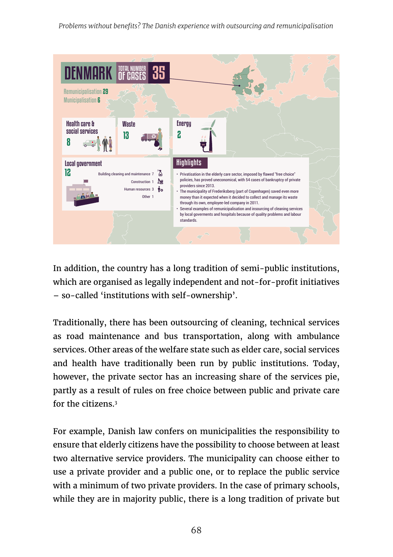*Problems without benefits? The Danish experience with outsourcing and remunicipalisation*



In addition, the country has a long tradition of semi-public institutions, which are organised as legally independent and not-for-profit initiatives – so-called 'institutions with self-ownership'.

Traditionally, there has been outsourcing of cleaning, technical services as road maintenance and bus transportation, along with ambulance services. Other areas of the welfare state such as elder care, social services and health have traditionally been run by public institutions. Today, however, the private sector has an increasing share of the services pie, partly as a result of rules on free choice between public and private care for the citizens.<sup>3</sup>

For example, Danish law confers on municipalities the responsibility to ensure that elderly citizens have the possibility to choose between at least two alternative service providers. The municipality can choose either to use a private provider and a public one, or to replace the public service with a minimum of two private providers. In the case of primary schools, while they are in majority public, there is a long tradition of private but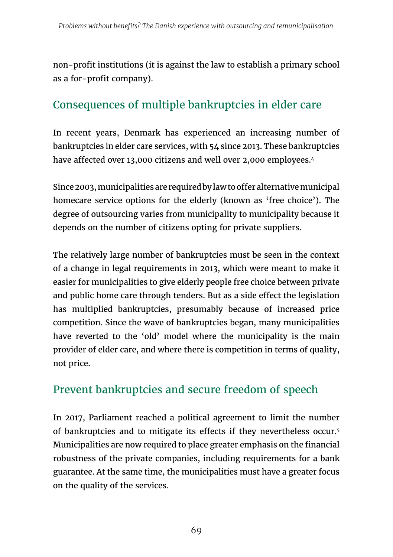non-profit institutions (it is against the law to establish a primary school as a for-profit company).

# Consequences of multiple bankruptcies in elder care

In recent years, Denmark has experienced an increasing number of bankruptcies in elder care services, with 54 since 2013. These bankruptcies have affected over 13,000 citizens and well over 2,000 employees.<sup>4</sup>

Since 2003, municipalities are required by law to offer alternative municipal homecare service options for the elderly (known as 'free choice'). The degree of outsourcing varies from municipality to municipality because it depends on the number of citizens opting for private suppliers.

The relatively large number of bankruptcies must be seen in the context of a change in legal requirements in 2013, which were meant to make it easier for municipalities to give elderly people free choice between private and public home care through tenders. But as a side effect the legislation has multiplied bankruptcies, presumably because of increased price competition. Since the wave of bankruptcies began, many municipalities have reverted to the 'old' model where the municipality is the main provider of elder care, and where there is competition in terms of quality, not price.

# Prevent bankruptcies and secure freedom of speech

In 2017, Parliament reached a political agreement to limit the number of bankruptcies and to mitigate its effects if they nevertheless occur.5 Municipalities are now required to place greater emphasis on the financial robustness of the private companies, including requirements for a bank guarantee. At the same time, the municipalities must have a greater focus on the quality of the services.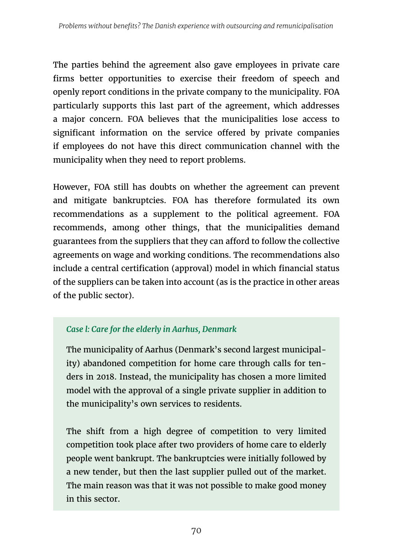The parties behind the agreement also gave employees in private care firms better opportunities to exercise their freedom of speech and openly report conditions in the private company to the municipality. FOA particularly supports this last part of the agreement, which addresses a major concern. FOA believes that the municipalities lose access to significant information on the service offered by private companies if employees do not have this direct communication channel with the municipality when they need to report problems.

However, FOA still has doubts on whether the agreement can prevent and mitigate bankruptcies. FOA has therefore formulated its own recommendations as a supplement to the political agreement. FOA recommends, among other things, that the municipalities demand guarantees from the suppliers that they can afford to follow the collective agreements on wage and working conditions. The recommendations also include a central certification (approval) model in which financial status of the suppliers can be taken into account (as is the practice in other areas of the public sector).

#### *Case l: Care for the elderly in Aarhus, Denmark*

The municipality of Aarhus (Denmark's second largest municipality) abandoned competition for home care through calls for tenders in 2018. Instead, the municipality has chosen a more limited model with the approval of a single private supplier in addition to the municipality's own services to residents.

The shift from a high degree of competition to very limited competition took place after two providers of home care to elderly people went bankrupt. The bankruptcies were initially followed by a new tender, but then the last supplier pulled out of the market. The main reason was that it was not possible to make good money in this sector.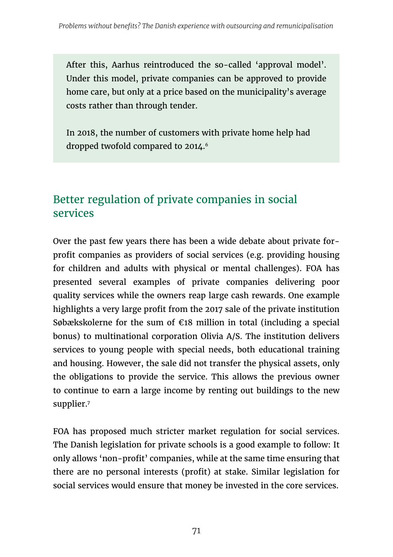After this, Aarhus reintroduced the so-called 'approval model'. Under this model, private companies can be approved to provide home care, but only at a price based on the municipality's average costs rather than through tender.

In 2018, the number of customers with private home help had dropped twofold compared to 2014.<sup>6</sup>

#### Better regulation of private companies in social services

Over the past few years there has been a wide debate about private forprofit companies as providers of social services (e.g. providing housing for children and adults with physical or mental challenges). FOA has presented several examples of private companies delivering poor quality services while the owners reap large cash rewards. One example highlights a very large profit from the 2017 sale of the private institution Søbækskolerne for the sum of  $\epsilon$ 18 million in total (including a special bonus) to multinational corporation Olivia A/S. The institution delivers services to young people with special needs, both educational training and housing. However, the sale did not transfer the physical assets, only the obligations to provide the service. This allows the previous owner to continue to earn a large income by renting out buildings to the new supplier.7

FOA has proposed much stricter market regulation for social services. The Danish legislation for private schools is a good example to follow: It only allows 'non-profit' companies, while at the same time ensuring that there are no personal interests (profit) at stake. Similar legislation for social services would ensure that money be invested in the core services.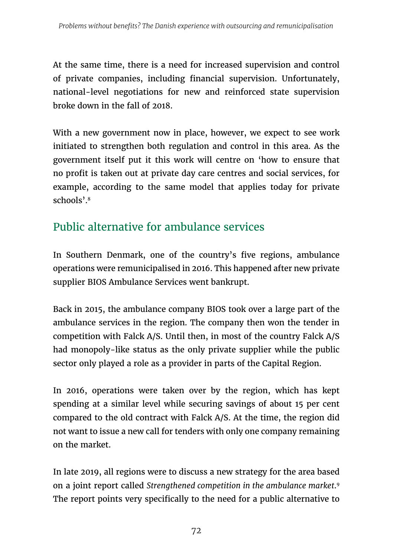At the same time, there is a need for increased supervision and control of private companies, including financial supervision. Unfortunately, national-level negotiations for new and reinforced state supervision broke down in the fall of 2018.

With a new government now in place, however, we expect to see work initiated to strengthen both regulation and control in this area. As the government itself put it this work will centre on 'how to ensure that no profit is taken out at private day care centres and social services, for example, according to the same model that applies today for private schools'.8

# Public alternative for ambulance services

In Southern Denmark, one of the country's five regions, ambulance operations were remunicipalised in 2016. This happened after new private supplier BIOS Ambulance Services went bankrupt.

Back in 2015, the ambulance company BIOS took over a large part of the ambulance services in the region. The company then won the tender in competition with Falck A/S. Until then, in most of the country Falck A/S had monopoly-like status as the only private supplier while the public sector only played a role as a provider in parts of the Capital Region.

In 2016, operations were taken over by the region, which has kept spending at a similar level while securing savings of about 15 per cent compared to the old contract with Falck A/S. At the time, the region did not want to issue a new call for tenders with only one company remaining on the market.

In late 2019, all regions were to discuss a new strategy for the area based on a joint report called *Strengthened competition in the ambulance market*. 9 The report points very specifically to the need for a public alternative to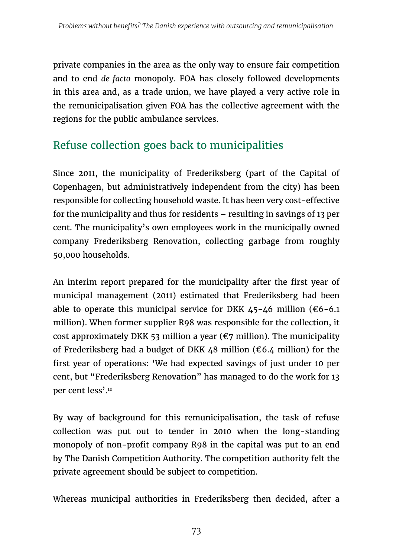private companies in the area as the only way to ensure fair competition and to end *de facto* monopoly. FOA has closely followed developments in this area and, as a trade union, we have played a very active role in the remunicipalisation given FOA has the collective agreement with the regions for the public ambulance services.

# Refuse collection goes back to municipalities

Since 2011, the municipality of Frederiksberg (part of the Capital of Copenhagen, but administratively independent from the city) has been responsible for collecting household waste. It has been very cost-effective for the municipality and thus for residents – resulting in savings of 13 per cent. The municipality's own employees work in the municipally owned company Frederiksberg Renovation, collecting garbage from roughly 50,000 households.

An interim report prepared for the municipality after the first year of municipal management (2011) estimated that Frederiksberg had been able to operate this municipal service for DKK  $45-46$  million ( $66-6.1$ ) million). When former supplier R98 was responsible for the collection, it cost approximately DKK 53 million a year ( $\epsilon$ 7 million). The municipality of Frederiksberg had a budget of DKK 48 million ( $\epsilon$ 6.4 million) for the first year of operations: 'We had expected savings of just under 10 per cent, but "Frederiksberg Renovation" has managed to do the work for 13 per cent less'.10

By way of background for this remunicipalisation, the task of refuse collection was put out to tender in 2010 when the long-standing monopoly of non-profit company R98 in the capital was put to an end by The Danish Competition Authority. The competition authority felt the private agreement should be subject to competition.

Whereas municipal authorities in Frederiksberg then decided, after a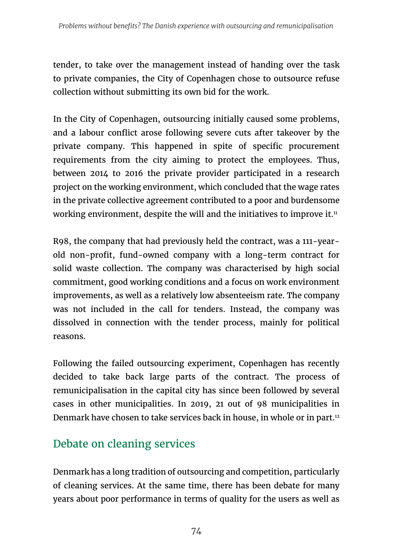tender, to take over the management instead of handing over the task to private companies, the City of Copenhagen chose to outsource refuse collection without submitting its own bid for the work.

In the City of Copenhagen, outsourcing initially caused some problems, and a labour conflict arose following severe cuts after takeover by the private company. This happened in spite of specific procurement requirements from the city aiming to protect the employees. Thus, between 2014 to 2016 the private provider participated in a research project on the working environment, which concluded that the wage rates in the private collective agreement contributed to a poor and burdensome working environment, despite the will and the initiatives to improve it.<sup>11</sup>

R98, the company that had previously held the contract, was a 111-yearold non-profit, fund-owned company with a long-term contract for solid waste collection. The company was characterised by high social commitment, good working conditions and a focus on work environment improvements, as well as a relatively low absenteeism rate. The company was not included in the call for tenders. Instead, the company was dissolved in connection with the tender process, mainly for political reasons.

Following the failed outsourcing experiment, Copenhagen has recently decided to take back large parts of the contract. The process of remunicipalisation in the capital city has since been followed by several cases in other municipalities. In 2019, 21 out of 98 municipalities in Denmark have chosen to take services back in house, in whole or in part.12

# Debate on cleaning services

Denmark has a long tradition of outsourcing and competition, particularly of cleaning services. At the same time, there has been debate for many years about poor performance in terms of quality for the users as well as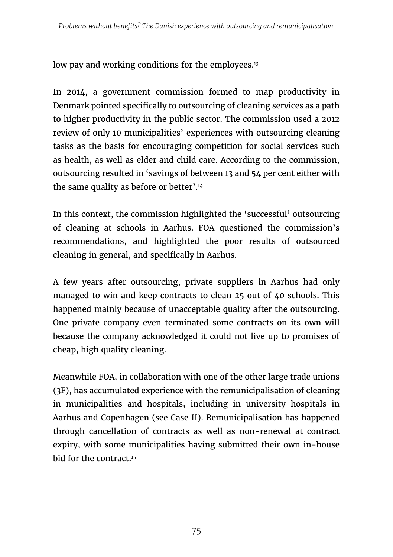low pay and working conditions for the employees.<sup>13</sup>

In 2014, a government commission formed to map productivity in Denmark pointed specifically to outsourcing of cleaning services as a path to higher productivity in the public sector. The commission used a 2012 review of only 10 municipalities' experiences with outsourcing cleaning tasks as the basis for encouraging competition for social services such as health, as well as elder and child care. According to the commission, outsourcing resulted in 'savings of between 13 and 54 per cent either with the same quality as before or better'.<sup>14</sup>

In this context, the commission highlighted the 'successful' outsourcing of cleaning at schools in Aarhus. FOA questioned the commission's recommendations, and highlighted the poor results of outsourced cleaning in general, and specifically in Aarhus.

A few years after outsourcing, private suppliers in Aarhus had only managed to win and keep contracts to clean 25 out of 40 schools. This happened mainly because of unacceptable quality after the outsourcing. One private company even terminated some contracts on its own will because the company acknowledged it could not live up to promises of cheap, high quality cleaning.

Meanwhile FOA, in collaboration with one of the other large trade unions (3F), has accumulated experience with the remunicipalisation of cleaning in municipalities and hospitals, including in university hospitals in Aarhus and Copenhagen (see Case II). Remunicipalisation has happened through cancellation of contracts as well as non-renewal at contract expiry, with some municipalities having submitted their own in-house bid for the contract.15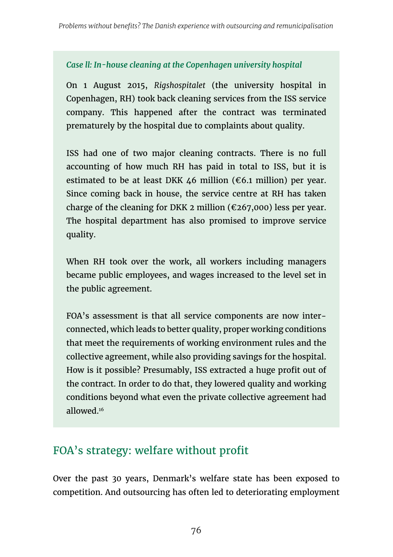#### *Case ll: In-house cleaning at the Copenhagen university hospital*

On 1 August 2015, *Rigshospitalet* (the university hospital in Copenhagen, RH) took back cleaning services from the ISS service company. This happened after the contract was terminated prematurely by the hospital due to complaints about quality.

ISS had one of two major cleaning contracts. There is no full accounting of how much RH has paid in total to ISS, but it is estimated to be at least DKK 46 million ( $\epsilon$ 6.1 million) per year. Since coming back in house, the service centre at RH has taken charge of the cleaning for DKK 2 million ( $\epsilon$ 267,000) less per year. The hospital department has also promised to improve service quality.

When RH took over the work, all workers including managers became public employees, and wages increased to the level set in the public agreement.

FOA's assessment is that all service components are now interconnected, which leads to better quality, proper working conditions that meet the requirements of working environment rules and the collective agreement, while also providing savings for the hospital. How is it possible? Presumably, ISS extracted a huge profit out of the contract. In order to do that, they lowered quality and working conditions beyond what even the private collective agreement had allowed.16

#### FOA's strategy: welfare without profit

Over the past 30 years, Denmark's welfare state has been exposed to competition. And outsourcing has often led to deteriorating employment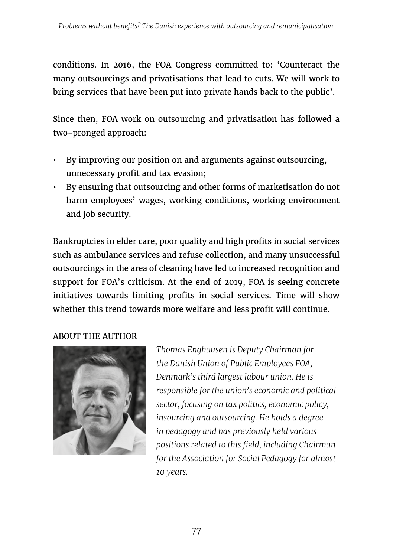conditions. In 2016, the FOA Congress committed to: 'Counteract the many outsourcings and privatisations that lead to cuts. We will work to bring services that have been put into private hands back to the public'.

Since then, FOA work on outsourcing and privatisation has followed a two-pronged approach:

- By improving our position on and arguments against outsourcing, unnecessary profit and tax evasion;
- By ensuring that outsourcing and other forms of marketisation do not harm employees' wages, working conditions, working environment and job security.

Bankruptcies in elder care, poor quality and high profits in social services such as ambulance services and refuse collection, and many unsuccessful outsourcings in the area of cleaning have led to increased recognition and support for FOA's criticism. At the end of 2019, FOA is seeing concrete initiatives towards limiting profits in social services. Time will show whether this trend towards more welfare and less profit will continue.

ABOUT THE AUTHOR



*Thomas Enghausen is Deputy Chairman for the Danish Union of Public Employees FOA, Denmark's third largest labour union. He is responsible for the union's economic and political sector, focusing on tax politics, economic policy, insourcing and outsourcing. He holds a degree in pedagogy and has previously held various positions related to this field, including Chairman for the Association for Social Pedagogy for almost 10 years.*